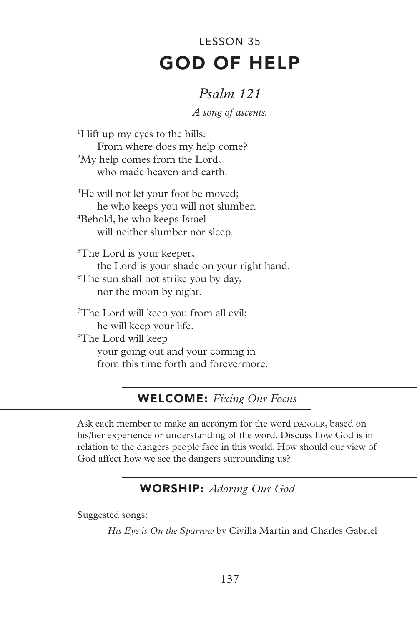# GOD OF HELP LESSON 35

# *Psalm 121*

*A song of ascents.*

1 I lift up my eyes to the hills. From where does my help come? 2 My help comes from the Lord, who made heaven and earth.

<sup>3</sup>He will not let your foot be moved; he who keeps you will not slumber. 4 Behold, he who keeps Israel will neither slumber nor sleep.

5 The Lord is your keeper; the Lord is your shade on your right hand. 6 The sun shall not strike you by day, nor the moon by night.

7 The Lord will keep you from all evil; he will keep your life. 8 The Lord will keep your going out and your coming in from this time forth and forevermore.

# WELCOME: *Fixing Our Focus*

Ask each member to make an acronym for the word DANGER, based on his/her experience or understanding of the word. Discuss how God is in relation to the dangers people face in this world. How should our view of God affect how we see the dangers surrounding us?

# WORSHIP: *Adoring Our God*

Suggested songs:

*His Eye is On the Sparrow* by Civilla Martin and Charles Gabriel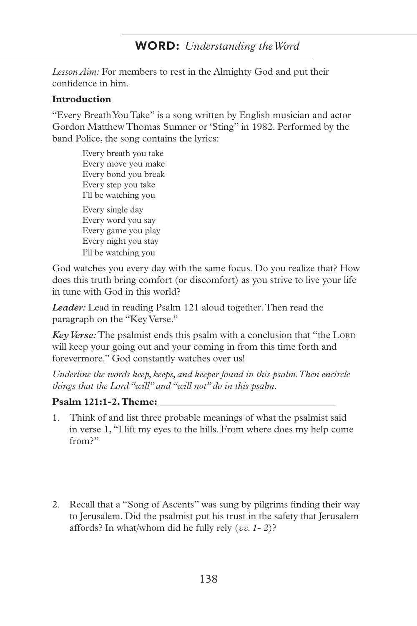### WORD: *Understanding the Word*

*Lesson Aim:* For members to rest in the Almighty God and put their confidence in him.

#### **Introduction**

"Every Breath You Take" is a song written by English musician and actor Gordon Matthew Thomas Sumner or 'Sting" in 1982. Performed by the band Police, the song contains the lyrics:

Every breath you take Every move you make Every bond you break Every step you take I'll be watching you Every single day Every word you say Every game you play Every night you stay I'll be watching you

God watches you every day with the same focus. Do you realize that? How does this truth bring comfort (or discomfort) as you strive to live your life in tune with God in this world?

*Leader:* Lead in reading Psalm 121 aloud together. Then read the paragraph on the "Key Verse."

*Key Verse:* The psalmist ends this psalm with a conclusion that "the LORD" will keep your going out and your coming in from this time forth and forevermore." God constantly watches over us!

*Underline the words keep, keeps, and keeper found in this psalm. Then encircle things that the Lord "will" and "will not" do in this psalm.*

#### **Psalm 121:1-2. Theme:**

- 1. Think of and list three probable meanings of what the psalmist said in verse 1, "I lift my eyes to the hills. From where does my help come from?"
- 2. Recall that a "Song of Ascents" was sung by pilgrims finding their way to Jerusalem. Did the psalmist put his trust in the safety that Jerusalem affords? In what/whom did he fully rely (*vv. 1- 2*)?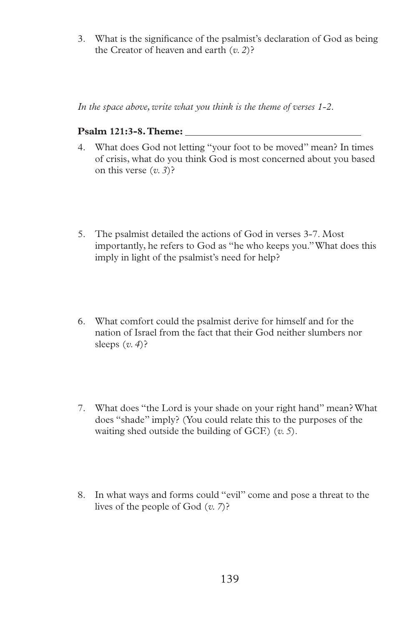3. What is the significance of the psalmist's declaration of God as being the Creator of heaven and earth (*v. 2*)?

*In the space above, write what you think is the theme of verses 1-2.*

#### **Psalm 121:3-8. Theme:**

- 4. What does God not letting "your foot to be moved" mean? In times of crisis, what do you think God is most concerned about you based on this verse (*v. 3*)?
- 5. The psalmist detailed the actions of God in verses 3-7. Most importantly, he refers to God as "he who keeps you." What does this imply in light of the psalmist's need for help?
- 6. What comfort could the psalmist derive for himself and for the nation of Israel from the fact that their God neither slumbers nor sleeps (*v. 4*)?
- 7. What does "the Lord is your shade on your right hand" mean? What does "shade" imply? (You could relate this to the purposes of the waiting shed outside the building of GCF.) (*v. 5*).
- 8. In what ways and forms could "evil" come and pose a threat to the lives of the people of God (*v. 7*)?